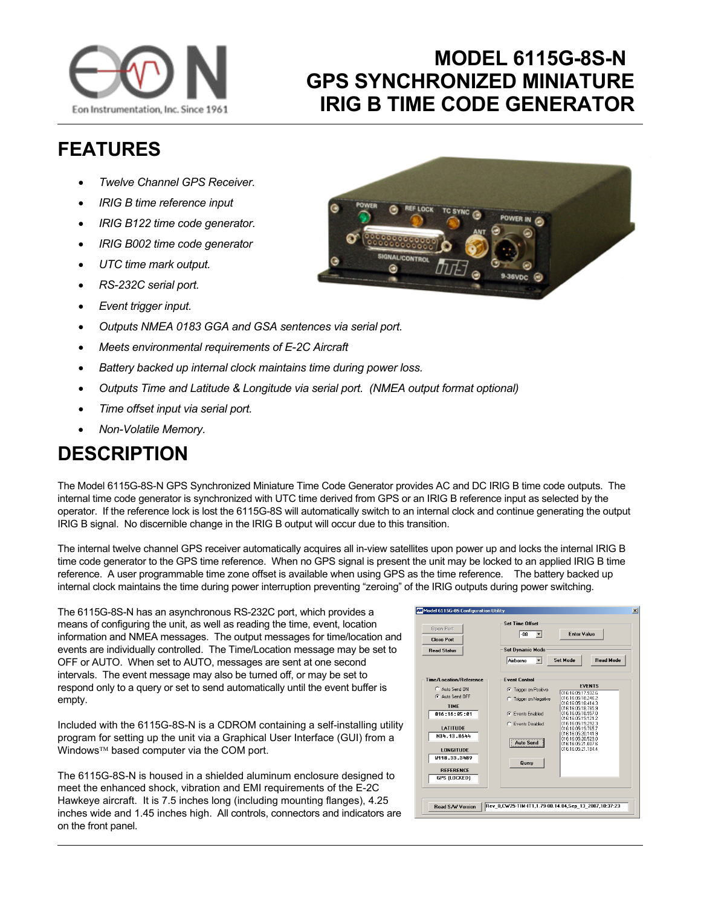

## **MODEL 6115G-8S-N GPS SYNCHRONIZED MINIATURE IRIG B TIME CODE GENERATOR**

## **FEATURES**

- *Twelve Channel GPS Receiver.*
- *IRIG B time reference input*
- *IRIG B122 time code generator.*
- *IRIG B002 time code generator*
- *UTC time mark output.*
- *RS-232C serial port.*
- *Event trigger input.*
- *Outputs NMEA 0183 GGA and GSA sentences via serial port.*
- *Meets environmental requirements of E-2C Aircraft*
- *Battery backed up internal clock maintains time during power loss.*
- *Outputs Time and Latitude & Longitude via serial port. (NMEA output format optional)*
- *Time offset input via serial port.*
- *Non-Volatile Memory.*

## **DESCRIPTION**

The Model 6115G-8S-N GPS Synchronized Miniature Time Code Generator provides AC and DC IRIG B time code outputs. The internal time code generator is synchronized with UTC time derived from GPS or an IRIG B reference input as selected by the operator. If the reference lock is lost the 6115G-8S will automatically switch to an internal clock and continue generating the output IRIG B signal. No discernible change in the IRIG B output will occur due to this transition.

The internal twelve channel GPS receiver automatically acquires all in-view satellites upon power up and locks the internal IRIG B time code generator to the GPS time reference. When no GPS signal is present the unit may be locked to an applied IRIG B time reference. A user programmable time zone offset is available when using GPS as the time reference. The battery backed up internal clock maintains the time during power interruption preventing "zeroing" of the IRIG outputs during power switching.

The 6115G-8S-N has an asynchronous RS-232C port, which provides a means of configuring the unit, as well as reading the time, event, location information and NMEA messages. The output messages for time/location and events are individually controlled. The Time/Location message may be set to OFF or AUTO. When set to AUTO, messages are sent at one second intervals. The event message may also be turned off, or may be set to respond only to a query or set to send automatically until the event buffer is empty.

Included with the 6115G-8S-N is a CDROM containing a self-installing utility program for setting up the unit via a Graphical User Interface (GUI) from a Windows™ based computer via the COM port.

The 6115G-8S-N is housed in a shielded aluminum enclosure designed to meet the enhanced shock, vibration and EMI requirements of the E-2C Hawkeye aircraft. It is 7.5 inches long (including mounting flanges), 4.25 inches wide and 1.45 inches high. All controls, connectors and indicators are on the front panel.